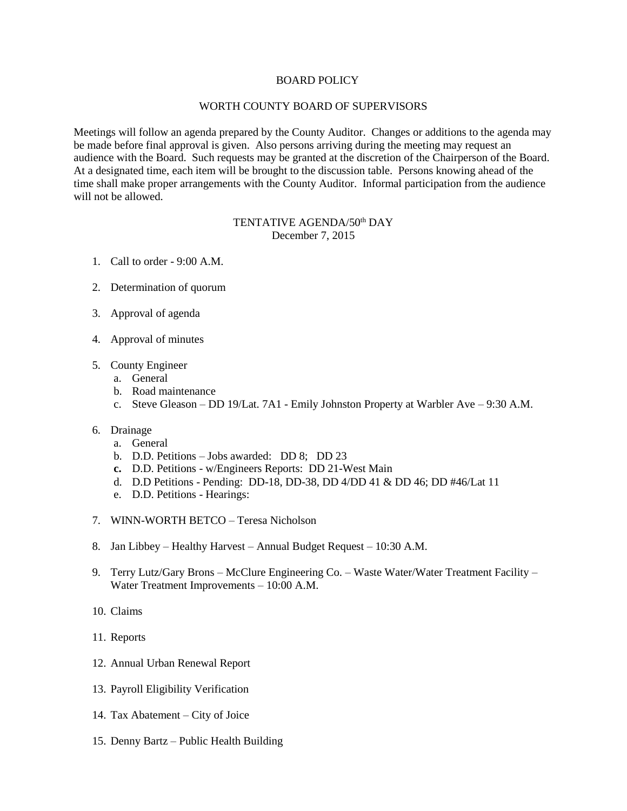## BOARD POLICY

## WORTH COUNTY BOARD OF SUPERVISORS

Meetings will follow an agenda prepared by the County Auditor. Changes or additions to the agenda may be made before final approval is given. Also persons arriving during the meeting may request an audience with the Board. Such requests may be granted at the discretion of the Chairperson of the Board. At a designated time, each item will be brought to the discussion table. Persons knowing ahead of the time shall make proper arrangements with the County Auditor. Informal participation from the audience will not be allowed.

## TENTATIVE AGENDA/50<sup>th</sup> DAY December 7, 2015

- 1. Call to order 9:00 A.M.
- 2. Determination of quorum
- 3. Approval of agenda
- 4. Approval of minutes
- 5. County Engineer
	- a. General
	- b. Road maintenance
	- c. Steve Gleason DD 19/Lat. 7A1 Emily Johnston Property at Warbler Ave 9:30 A.M.
- 6. Drainage
	- a. General
	- b. D.D. Petitions Jobs awarded: DD 8; DD 23
	- **c.** D.D. Petitions w/Engineers Reports: DD 21-West Main
	- d. D.D Petitions Pending: DD-18, DD-38, DD 4/DD 41 & DD 46; DD #46/Lat 11
	- e. D.D. Petitions Hearings:
- 7. WINN-WORTH BETCO Teresa Nicholson
- 8. Jan Libbey Healthy Harvest Annual Budget Request 10:30 A.M.
- 9. Terry Lutz/Gary Brons McClure Engineering Co. Waste Water/Water Treatment Facility Water Treatment Improvements – 10:00 A.M.
- 10. Claims
- 11. Reports
- 12. Annual Urban Renewal Report
- 13. Payroll Eligibility Verification
- 14. Tax Abatement City of Joice
- 15. Denny Bartz Public Health Building